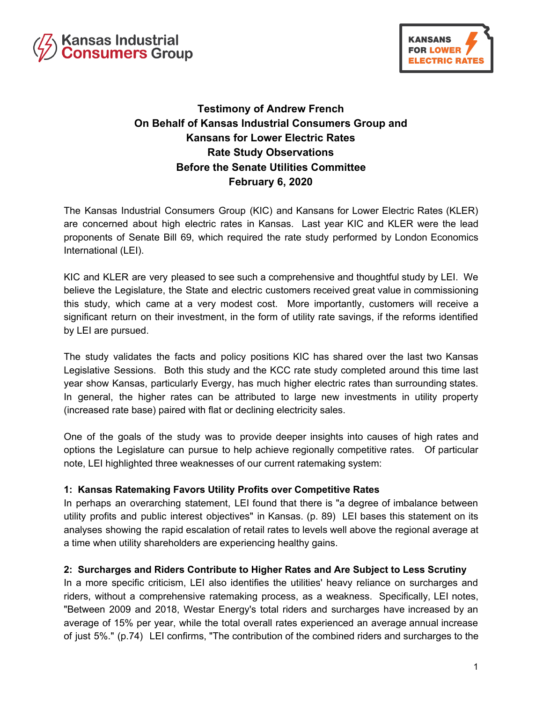



# **Testimony of Andrew French On Behalf of Kansas Industrial Consumers Group and Kansans for Lower Electric Rates Rate Study Observations Before the Senate Utilities Committee February 6, 2020**

The Kansas Industrial Consumers Group (KIC) and Kansans for Lower Electric Rates (KLER) are concerned about high electric rates in Kansas. Last year KIC and KLER were the lead proponents of Senate Bill 69, which required the rate study performed by London Economics International (LEI).

KIC and KLER are very pleased to see such a comprehensive and thoughtful study by LEI. We believe the Legislature, the State and electric customers received great value in commissioning this study, which came at a very modest cost. More importantly, customers will receive a significant return on their investment, in the form of utility rate savings, if the reforms identified by LEI are pursued.

The study validates the facts and policy positions KIC has shared over the last two Kansas Legislative Sessions. Both this study and the KCC rate study completed around this time last year show Kansas, particularly Evergy, has much higher electric rates than surrounding states. In general, the higher rates can be attributed to large new investments in utility property (increased rate base) paired with flat or declining electricity sales.

One of the goals of the study was to provide deeper insights into causes of high rates and options the Legislature can pursue to help achieve regionally competitive rates. Of particular note, LEI highlighted three weaknesses of our current ratemaking system:

## **1: Kansas Ratemaking Favors Utility Profits over Competitive Rates**

In perhaps an overarching statement, LEI found that there is "a degree of imbalance between utility profits and public interest objectives" in Kansas. (p. 89) LEI bases this statement on its analyses showing the rapid escalation of retail rates to levels well above the regional average at a time when utility shareholders are experiencing healthy gains.

## **2: Surcharges and Riders Contribute to Higher Rates and Are Subject to Less Scrutiny**

In a more specific criticism, LEI also identifies the utilities' heavy reliance on surcharges and riders, without a comprehensive ratemaking process, as a weakness. Specifically, LEI notes, "Between 2009 and 2018, Westar Energy's total riders and surcharges have increased by an average of 15% per year, while the total overall rates experienced an average annual increase of just 5%." (p.74) LEI confirms, "The contribution of the combined riders and surcharges to the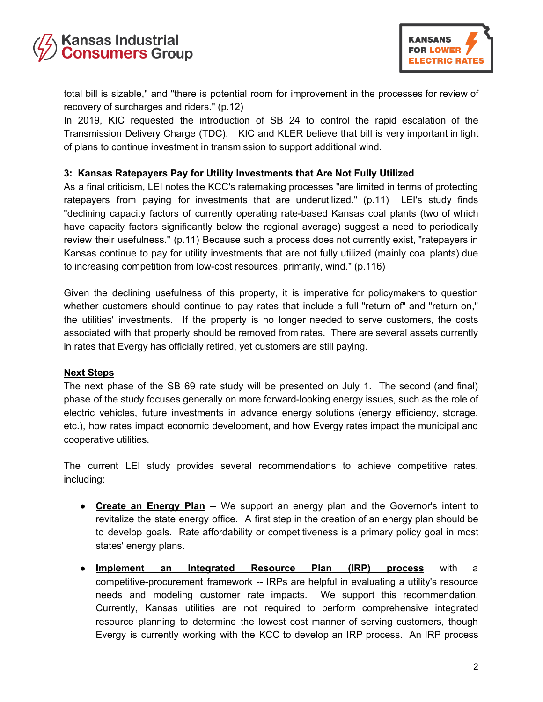



total bill is sizable," and "there is potential room for improvement in the processes for review of recovery of surcharges and riders." (p.12)

In 2019, KIC requested the introduction of SB 24 to control the rapid escalation of the Transmission Delivery Charge (TDC). KIC and KLER believe that bill is very important in light of plans to continue investment in transmission to support additional wind.

## **3: Kansas Ratepayers Pay for Utility Investments that Are Not Fully Utilized**

As a final criticism, LEI notes the KCC's ratemaking processes "are limited in terms of protecting ratepayers from paying for investments that are underutilized." (p.11) LEI's study finds "declining capacity factors of currently operating rate-based Kansas coal plants (two of which have capacity factors significantly below the regional average) suggest a need to periodically review their usefulness." (p.11) Because such a process does not currently exist, "ratepayers in Kansas continue to pay for utility investments that are not fully utilized (mainly coal plants) due to increasing competition from low-cost resources, primarily, wind." (p.116)

Given the declining usefulness of this property, it is imperative for policymakers to question whether customers should continue to pay rates that include a full "return of" and "return on," the utilities' investments. If the property is no longer needed to serve customers, the costs associated with that property should be removed from rates. There are several assets currently in rates that Evergy has officially retired, yet customers are still paying.

#### **Next Steps**

The next phase of the SB 69 rate study will be presented on July 1. The second (and final) phase of the study focuses generally on more forward-looking energy issues, such as the role of electric vehicles, future investments in advance energy solutions (energy efficiency, storage, etc.), how rates impact economic development, and how Evergy rates impact the municipal and cooperative utilities.

The current LEI study provides several recommendations to achieve competitive rates, including:

- **Create an Energy Plan** -- We support an energy plan and the Governor's intent to revitalize the state energy office. A first step in the creation of an energy plan should be to develop goals. Rate affordability or competitiveness is a primary policy goal in most states' energy plans.
- **Implement an Integrated Resource Plan (IRP) process** with a competitive-procurement framework -- IRPs are helpful in evaluating a utility's resource needs and modeling customer rate impacts. We support this recommendation. Currently, Kansas utilities are not required to perform comprehensive integrated resource planning to determine the lowest cost manner of serving customers, though Evergy is currently working with the KCC to develop an IRP process. An IRP process